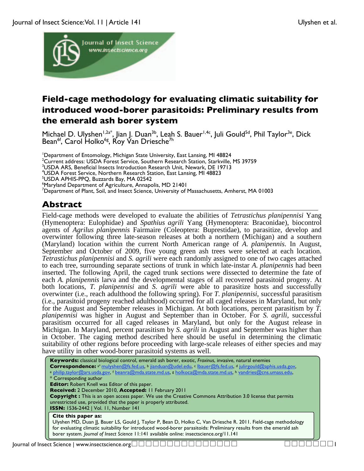

# **Field-cage methodology for evaluating climatic suitability for introduced wood-borer parasitoids: Preliminary results from the emerald ash borer system**

Michael D. Ulyshen<sup>1,2a\*</sup>, Jian J. Duan<sup>3b</sup>, Leah S. Bauer<sup>1,4c</sup>, Juli Gould<sup>5d</sup>, Phil Taylor<sup>3e</sup>, Dick Bean<sup>6f</sup>, Carol Holko<sup>6g</sup>, Roy Van Driesche<sup>7h</sup>

1 Department of Entomology, Michigan State University, East Lansing, MI 48824 2 Current address: USDA Forest Service, Southern Research Station, Starkville, MS 39759 <sup>3</sup>USDA ARS, Beneficial Insects Introduction Research Unit, Newark, DE 19713<br><sup>4</sup>USDA Forest Service, Northern Research Station, Fast Lansing, ML48923 USDA Forest Service, Northern Research Station, East Lansing, MI 48823 <sup>5</sup>USDA APHIS-PPQ, Buzzards Bay, MA 02542 Maryland Department of Agriculture, Annapolis, MD 21401 <sup>7</sup>Department of Plant, Soil, and Insect Science, University of Massachusetts, Amherst, MA 01003

## **Abstract**

Field-cage methods were developed to evaluate the abilities of *Tetrastichus planipennisi* Yang (Hymenoptera: Eulophidae) and *Spathius agrili* Yang (Hymenoptera: Braconidae), biocontrol agents of *Agrilus planipennis* Fairmaire (Coleoptera: Buprestidae), to parasitize, develop and overwinter following three late-season releases at both a northern (Michigan) and a southern (Maryland) location within the current North American range of *A. planipennis*. In August, September and October of 2009, five young green ash trees were selected at each location. *Tetrastichus planipennisi* and *S. agrili* were each randomly assigned to one of two cages attached to each tree, surrounding separate sections of trunk in which late-instar *A. planipennis* had been inserted. The following April, the caged trunk sections were dissected to determine the fate of each *A. planipennis* larva and the developmental stages of all recovered parasitoid progeny. At both locations, *T. planipennisi* and *S. agrili* were able to parasitize hosts and successfully overwinter (i.e., reach adulthood the following spring). For *T. planipennisi*, successful parasitism (i.e., parasitoid progeny reached adulthood) occurred for all caged releases in Maryland, but only for the August and September releases in Michigan. At both locations, percent parasitism by *T. planipennisi* was higher in August and September than in October. For *S. agrili*, successful parasitism occurred for all caged releases in Maryland, but only for the August release in Michigan. In Maryland, percent parasitism by *S. agrili* in August and September was higher than in October. The caging method described here should be useful in determining the climatic suitability of other regions before proceeding with large-scale releases of either species and may have utility in other wood-borer parasitoid systems as well.

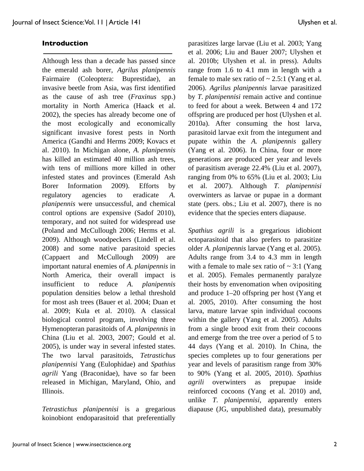## **Introduction**

Although less than a decade has passed since the emerald ash borer, *Agrilus planipennis* Fairmaire (Coleoptera: Buprestidae), an invasive beetle from Asia, was first identified as the cause of ash tree (*Fraxinus* spp.) mortality in North America (Haack et al. 2002), the species has already become one of the most ecologically and economically significant invasive forest pests in North America (Gandhi and Herms 2009; Kovacs et al. 2010). In Michigan alone, *A. planipennis* has killed an estimated 40 million ash trees, with tens of millions more killed in other infested states and provinces (Emerald Ash Borer Information 2009). Efforts by regulatory agencies to eradicate *A. planipennis* were unsuccessful, and chemical control options are expensive (Sadof 2010), temporary, and not suited for widespread use (Poland and McCullough 2006; Herms et al. 2009). Although woodpeckers (Lindell et al. 2008) and some native parasitoid species (Cappaert and McCullough 2009) are important natural enemies of *A. planipennis* in North America, their overall impact is insufficient to reduce *A. planipennis* population densities below a lethal threshold for most ash trees (Bauer et al. 2004; Duan et al. 2009; Kula et al. 2010). A classical biological control program, involving three Hymenopteran parasitoids of *A. planipennis* in China (Liu et al. 2003, 2007; Gould et al. 2005), is under way in several infested states. The two larval parasitoids, *Tetrastichus planipennisi* Yang (Eulophidae) and *Spathius agrili* Yang (Braconidae), have so far been released in Michigan, Maryland, Ohio, and Illinois.

*Tetrastichus planipennisi* is a gregarious koinobiont endoparasitoid that preferentially parasitizes large larvae (Liu et al. 2003; Yang et al. 2006; Liu and Bauer 2007; Ulyshen et al. 2010b; Ulyshen et al. in press). Adults range from 1.6 to 4.1 mm in length with a female to male sex ratio of  $\sim 2.5:1$  (Yang et al. 2006). *Agrilus planipennis* larvae parasitized by *T. planipennisi* remain active and continue to feed for about a week. Between 4 and 172 offspring are produced per host (Ulyshen et al. 2010a). After consuming the host larva, parasitoid larvae exit from the integument and pupate within the *A. planipennis* gallery (Yang et al. 2006). In China, four or more generations are produced per year and levels of parasitism average 22.4% (Liu et al. 2007), ranging from 0% to 65% (Liu et al. 2003; Liu et al. 2007). Although *T. planipennisi* overwinters as larvae or pupae in a dormant state (pers. obs.; Liu et al. 2007), there is no evidence that the species enters diapause.

*Spathius agrili* is a gregarious idiobiont ectoparasitoid that also prefers to parasitize older *A. planipennis* larvae (Yang et al. 2005). Adults range from 3.4 to 4.3 mm in length with a female to male sex ratio of  $\sim$  3:1 (Yang et al. 2005). Females permanently paralyze their hosts by envenomation when ovipositing and produce 1–20 offspring per host (Yang et al. 2005, 2010). After consuming the host larva, mature larvae spin individual cocoons within the gallery (Yang et al. 2005). Adults from a single brood exit from their cocoons and emerge from the tree over a period of 5 to 44 days (Yang et al. 2010). In China, the species completes up to four generations per year and levels of parasitism range from 30% to 90% (Yang et al. 2005, 2010). *Spathius agrili* overwinters as prepupae inside reinforced cocoons (Yang et al. 2010) and, unlike *T. planipennisi*, apparently enters diapause (JG, unpublished data), presumably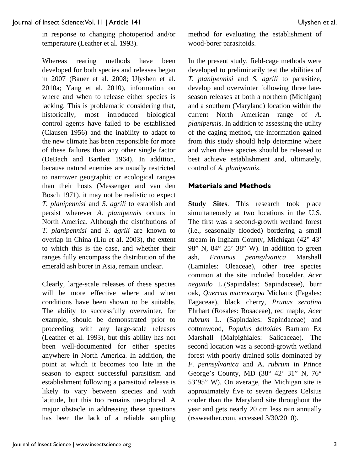in response to changing photoperiod and/or temperature (Leather et al. 1993).

Whereas rearing methods have been developed for both species and releases began in 2007 (Bauer et al. 2008; Ulyshen et al. 2010a; Yang et al. 2010), information on where and when to release either species is lacking. This is problematic considering that, historically, most introduced biological control agents have failed to be established (Clausen 1956) and the inability to adapt to the new climate has been responsible for more of these failures than any other single factor (DeBach and Bartlett 1964). In addition, because natural enemies are usually restricted to narrower geographic or ecological ranges than their hosts (Messenger and van den Bosch 1971), it may not be realistic to expect *T. planipennisi* and *S. agrili* to establish and persist wherever *A. planipennis* occurs in North America. Although the distributions of *T. planipennisi* and *S. agrili* are known to overlap in China (Liu et al. 2003), the extent to which this is the case, and whether their ranges fully encompass the distribution of the emerald ash borer in Asia, remain unclear.

Clearly, large-scale releases of these species will be more effective where and when conditions have been shown to be suitable. The ability to successfully overwinter, for example, should be demonstrated prior to proceeding with any large-scale releases (Leather et al. 1993), but this ability has not been well-documented for either species anywhere in North America. In addition, the point at which it becomes too late in the season to expect successful parasitism and establishment following a parasitoid release is likely to vary between species and with latitude, but this too remains unexplored. A major obstacle in addressing these questions has been the lack of a reliable sampling method for evaluating the establishment of wood-borer parasitoids.

In the present study, field-cage methods were developed to preliminarily test the abilities of *T. planipennisi* and *S. agrili* to parasitize, develop and overwinter following three lateseason releases at both a northern (Michigan) and a southern (Maryland) location within the current North American range of *A. planipennis*. In addition to assessing the utility of the caging method, the information gained from this study should help determine where and when these species should be released to best achieve establishment and, ultimately, control of *A. planipennis*.

## **Materials and Methods**

**Study Sites**. This research took place simultaneously at two locations in the U.S. The first was a second-growth wetland forest (i.e., seasonally flooded) bordering a small stream in Ingham County, Michigan (42° 43' 98" N, 84° 25' 38" W). In addition to green ash, *Fraxinus pennsylvanica* Marshall (Lamiales: Oleaceae), other tree species common at the site included boxelder, *Acer negundo* L.(Sapindales: Sapindaceae), burr oak, *Quercus macrocarpa* Michaux (Fagales: Fagaceae), black cherry, *Prunus serotina* Ehrhart (Rosales: Rosaceae), red maple, *Acer rubrum* L. (Sapindales: Sapindaceae) and cottonwood, *Populus deltoides* Bartram Ex Marshall (Malpighiales: Salicaceae). The second location was a second-growth wetland forest with poorly drained soils dominated by *F. pennsylvanica* and A. *rubrum* in Prince George's County, MD (38° 42' 31" N, 76° 53'95" W). On average, the Michigan site is approximately five to seven degrees Celsius cooler than the Maryland site throughout the year and gets nearly 20 cm less rain annually (rssweather.com, accessed 3/30/2010).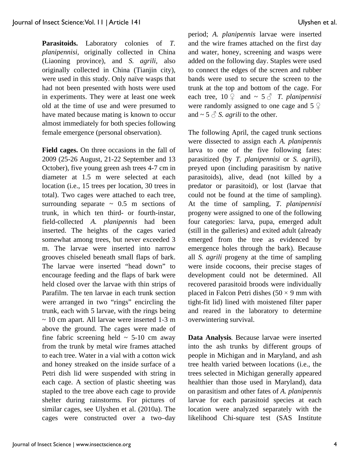**Parasitoids.** Laboratory colonies of *T. planipennisi*, originally collected in China (Liaoning province), and *S. agrili,* also originally collected in China (Tianjin city), were used in this study. Only naïve wasps that had not been presented with hosts were used in experiments. They were at least one week old at the time of use and were presumed to have mated because mating is known to occur almost immediately for both species following female emergence (personal observation).

**Field cages.** On three occasions in the fall of 2009 (25-26 August, 21-22 September and 13 October), five young green ash trees 4-7 cm in diameter at 1.5 m were selected at each location (i.e., 15 trees per location, 30 trees in total). Two cages were attached to each tree, surrounding separate  $\sim$  0.5 m sections of trunk, in which ten third- or fourth-instar, field-collected *A. planipennis* had been inserted. The heights of the cages varied somewhat among trees, but never exceeded 3 m. The larvae were inserted into narrow grooves chiseled beneath small flaps of bark. The larvae were inserted "head down" to encourage feeding and the flaps of bark were held closed over the larvae with thin strips of Parafilm. The ten larvae in each trunk section were arranged in two "rings" encircling the trunk, each with 5 larvae, with the rings being  $\sim$  10 cm apart. All larvae were inserted 1-3 m above the ground. The cages were made of fine fabric screening held  $\sim$  5-10 cm away from the trunk by metal wire frames attached to each tree. Water in a vial with a cotton wick and honey streaked on the inside surface of a Petri dish lid were suspended with string in each cage. A section of plastic sheeting was stapled to the tree above each cage to provide shelter during rainstorms. For pictures of similar cages, see Ulyshen et al. (2010a). The cages were constructed over a two–day period; *A. planipennis* larvae were inserted and the wire frames attached on the first day and water, honey, screening and wasps were added on the following day. Staples were used to connect the edges of the screen and rubber bands were used to secure the screen to the trunk at the top and bottom of the cage. For each tree,  $10 \nsubseteq$  and  $\sim 5 \nless$  *T. planipennisi* were randomly assigned to one cage and  $5 \n\Omega$ and  $\sim$  5  $\stackrel{\frown}{\circ}$  *S. agrili* to the other.

The following April, the caged trunk sections were dissected to assign each *A. planipennis* larva to one of the five following fates: parasitized (by *T. planipennisi* or *S. agrili*), preyed upon (including parasitism by native parasitoids), alive, dead (not killed by a predator or parasitoid), or lost (larvae that could not be found at the time of sampling). At the time of sampling, *T. planipennisi* progeny were assigned to one of the following four categories: larva, pupa, emerged adult (still in the galleries) and exited adult (already emerged from the tree as evidenced by emergence holes through the bark). Because all *S. agrili* progeny at the time of sampling were inside cocoons, their precise stages of development could not be determined. All recovered parasitoid broods were individually placed in Falcon Petri dishes ( $50 \times 9$  mm with tight-fit lid) lined with moistened filter paper and reared in the laboratory to determine overwintering survival.

**Data Analysis***.* Because larvae were inserted into the ash trunks by different groups of people in Michigan and in Maryland, and ash tree health varied between locations (i.e., the trees selected in Michigan generally appeared healthier than those used in Maryland), data on parasitism and other fates of *A. planipennis* larvae for each parasitoid species at each location were analyzed separately with the likelihood Chi-square test (SAS Institute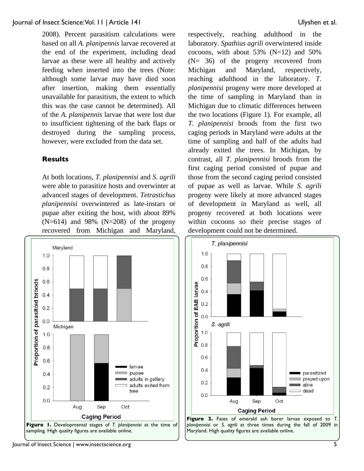2008). Percent parasitism calculations were based on all *A. planipennis* larvae recovered at the end of the experiment, including dead larvae as these were all healthy and actively feeding when inserted into the trees (Note: although some larvae may have died soon after insertion, making them essentially unavailable for parasitism, the extent to which this was the case cannot be determined). All of the *A. planipennis* larvae that were lost due to insufficient tightening of the bark flaps or destroyed during the sampling process, however, were excluded from the data set.

## **Results**

At both locations, *T. planipennisi* and *S. agrili* were able to parasitize hosts and overwinter at advanced stages of development. *Tetrastichus planipennisi* overwintered as late-instars or pupae after exiting the host, with about 89%  $(N=614)$  and 98%  $(N=208)$  of the progeny recovered from Michigan and Maryland,



Journal of Insect Science | www.insectscience.org 5

respectively, reaching adulthood in the laboratory. *Spathius agrili* overwintered inside cocoons, with about 53% (N=12) and 50% (N= 36) of the progeny recovered from Michigan and Maryland, respectively, reaching adulthood in the laboratory. *T. planipennisi* progeny were more developed at the time of sampling in Maryland than in Michigan due to climatic differences between the two locations (Figure 1). For example, all *T. planipennisi* broods from the first two caging periods in Maryland were adults at the time of sampling and half of the adults had already exited the trees. In Michigan, by contrast, all *T. planipennisi* broods from the first caging period consisted of pupae and those from the second caging period consisted of pupae as well as larvae. While *S. agrili* progeny were likely at more advanced stages of development in Maryland as well, all progeny recovered at both locations were within cocoons so their precise stages of development could not be determined.

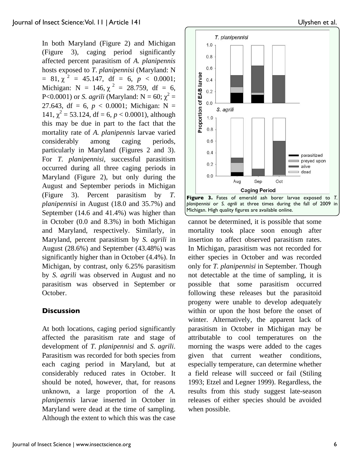In both Maryland (Figure 2) and Michigan (Figure 3), caging period significantly affected percent parasitism of *A. planipennis* hosts exposed to *T. planipennisi* (Maryland: N  $= 81, \chi^2 = 45.147, df = 6, p < 0.0001;$ Michigan: N = 146,  $\chi^2$  = 28.759, df = 6, P<0.0001) or *S. agrili* (Maryland: N = 60;  $\chi^2$  = 27.643, df = 6,  $p < 0.0001$ ; Michigan: N = 141,  $\chi^2$  = 53.124, df = 6, *p* < 0.0001), although this may be due in part to the fact that the mortality rate of *A. planipennis* larvae varied considerably among caging periods, particularly in Maryland (Figures 2 and 3). For *T. planipennisi*, successful parasitism occurred during all three caging periods in Maryland (Figure 2), but only during the August and September periods in Michigan (Figure 3). Percent parasitism by *T. planipennisi* in August (18.0 and 35.7%) and September (14.6 and 41.4%) was higher than in October (0.0 and 8.3%) in both Michigan and Maryland, respectively. Similarly, in Maryland, percent parasitism by *S. agrili* in August (28.6%) and September (43.48%) was significantly higher than in October (4.4%). In Michigan, by contrast, only 6.25% parasitism by *S. agrili* was observed in August and no parasitism was observed in September or October.

## **Discussion**

At both locations, caging period significantly affected the parasitism rate and stage of development of *T. planipennisi* and *S. agrili*. Parasitism was recorded for both species from each caging period in Maryland, but at considerably reduced rates in October. It should be noted, however, that, for reasons unknown, a large proportion of the *A. planipennis* larvae inserted in October in Maryland were dead at the time of sampling. Although the extent to which this was the case



cannot be determined, it is possible that some mortality took place soon enough after insertion to affect observed parasitism rates. In Michigan, parasitism was not recorded for either species in October and was recorded only for *T. planipennisi* in September. Though not detectable at the time of sampling, it is possible that some parasitism occurred following these releases but the parasitoid progeny were unable to develop adequately within or upon the host before the onset of winter. Alternatively, the apparent lack of parasitism in October in Michigan may be attributable to cool temperatures on the morning the wasps were added to the cages given that current weather conditions, especially temperature, can determine whether a field release will succeed or fail (Stiling 1993; Etzel and Legner 1999). Regardless, the results from this study suggest late-season releases of either species should be avoided when possible.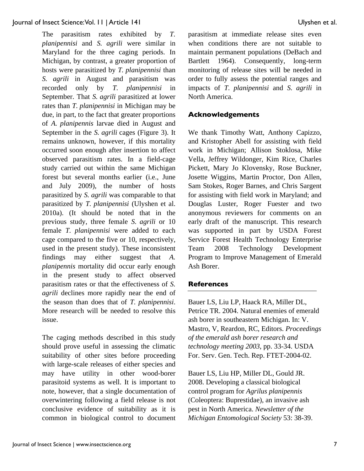#### Journal of Insect Science: Vol. 11 | Article 141 Ulyshen et al.

The parasitism rates exhibited by *T. planipennisi* and *S. agrili* were similar in Maryland for the three caging periods. In Michigan, by contrast, a greater proportion of hosts were parasitized by *T. planipennisi* than *S. agrili* in August and parasitism was recorded only by *T. planipennisi* in September. That *S. agrili* parasitized at lower rates than *T. planipennisi* in Michigan may be due, in part, to the fact that greater proportions of *A. planipennis* larvae died in August and September in the *S. agrili* cages (Figure 3). It remains unknown, however, if this mortality occurred soon enough after insertion to affect observed parasitism rates. In a field-cage study carried out within the same Michigan forest but several months earlier (i.e., June and July 2009), the number of hosts parasitized by *S. agrili* was comparable to that parasitized by *T. planipennisi* (Ulyshen et al. 2010a). (It should be noted that in the previous study, three female *S. agrili* or 10 female *T. planipennisi* were added to each cage compared to the five or 10, respectively, used in the present study). These inconsistent findings may either suggest that *A. planipennis* mortality did occur early enough in the present study to affect observed parasitism rates or that the effectiveness of *S. agrili* declines more rapidly near the end of the season than does that of *T. planipennisi*. More research will be needed to resolve this issue.

The caging methods described in this study should prove useful in assessing the climatic suitability of other sites before proceeding with large-scale releases of either species and may have utility in other wood-borer parasitoid systems as well. It is important to note, however, that a single documentation of overwintering following a field release is not conclusive evidence of suitability as it is common in biological control to document parasitism at immediate release sites even when conditions there are not suitable to maintain permanent populations (DeBach and Bartlett 1964). Consequently, long-term monitoring of release sites will be needed in order to fully assess the potential ranges and impacts of *T. planipennisi* and *S. agrili* in North America.

## **Acknowledgements**

We thank Timothy Watt, Anthony Capizzo, and Kristopher Abell for assisting with field work in Michigan; Allison Stoklosa, Mike Vella, Jeffrey Wildonger, Kim Rice, Charles Pickett, Mary Jo Klovensky, Rose Buckner, Josette Wiggins, Martin Proctor, Don Allen, Sam Stokes, Roger Barnes, and Chris Sargent for assisting with field work in Maryland; and Douglas Luster, Roger Fuester and two anonymous reviewers for comments on an early draft of the manuscript. This research was supported in part by USDA Forest Service Forest Health Technology Enterprise Team 2008 Technology Development Program to Improve Management of Emerald Ash Borer.

## **References**

Bauer LS, Liu LP, Haack RA, Miller DL, Petrice TR. 2004. Natural enemies of emerald ash borer in southeastern Michigan. In: V. Mastro, V, Reardon, RC, Editors. *Proceedings of the emerald ash borer research and technology meeting 2003*, pp. 33-34. USDA For. Serv. Gen. Tech. Rep. FTET-2004-02.

Bauer LS, Liu HP, Miller DL, Gould JR. 2008. Developing a classical biological control program for *Agrilus planipennis* (Coleoptera: Buprestidae), an invasive ash pest in North America. *Newsletter of the Michigan Entomological Society* 53: 38-39.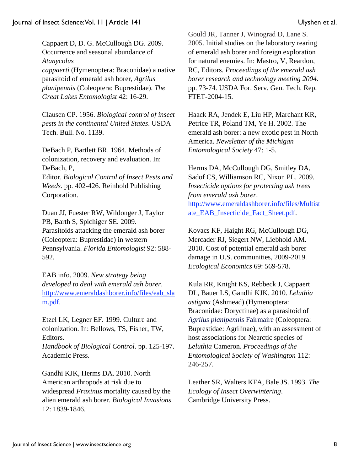Cappaert D, D. G. McCullough DG. 2009. Occurrence and seasonal abundance of *Atanycolus cappaerti* (Hymenoptera: Braconidae) a native parasitoid of emerald ash borer, *Agrilus planipennis* (Coleoptera: Buprestidae). *The Great Lakes Entomologist* 42: 16-29.

Clausen CP. 1956. *Biological control of insect pests in the continental United States*. USDA Tech. Bull. No. 1139.

DeBach P, Bartlett BR. 1964. Methods of colonization, recovery and evaluation. In: DeBach, P, Editor. *Biological Control of Insect Pests and Weeds*. pp. 402-426. Reinhold Publishing Corporation.

Duan JJ, Fuester RW, Wildonger J, Taylor PB, Barth S, Spichiger SE. 2009. Parasitoids attacking the emerald ash borer (Coleoptera: Buprestidae) in western Pennsylvania. *Florida Entomologist* 92: 588- 592.

EAB info. 2009. *New strategy being developed to deal with emerald ash borer*. http://www.emeraldashborer.info/files/eab\_sla m.pdf.

Etzel LK, Legner EF. 1999. Culture and colonization. In: Bellows, TS, Fisher, TW, Editors. *Handbook of Biological Control*. pp. 125-197. Academic Press.

Gandhi KJK, Herms DA. 2010. North American arthropods at risk due to widespread *Fraxinus* mortality caused by the alien emerald ash borer. *Biological Invasions* 12: 1839-1846.

Gould JR, Tanner J, Winograd D, Lane S. 2005. Initial studies on the laboratory rearing of emerald ash borer and foreign exploration for natural enemies. In: Mastro, V, Reardon, RC, Editors. *Proceedings of the emerald ash borer research and technology meeting 2004*. pp. 73-74. USDA For. Serv. Gen. Tech. Rep. FTET-2004-15.

Haack RA, Jendek E, Liu HP, Marchant KR, Petrice TR, Poland TM, Ye H. 2002. The emerald ash borer: a new exotic pest in North America. *Newsletter of the Michigan Entomological Society* 47: 1-5.

Herms DA, McCullough DG, Smitley DA, Sadof CS, Williamson RC, Nixon PL. 2009. *Insecticide options for protecting ash trees from emerald ash borer*. http://www.emeraldashborer.info/files/Multist ate\_EAB\_Insecticide\_Fact\_Sheet.pdf.

Kovacs KF, Haight RG, McCullough DG, Mercader RJ, Siegert NW, Liebhold AM. 2010. Cost of potential emerald ash borer damage in U.S. communities, 2009-2019. *Ecological Economics* 69: 569-578.

Kula RR, Knight KS, Rebbeck J, Cappaert DL, Bauer LS, Gandhi KJK. 2010. *Leluthia astigma* (Ashmead) (Hymenoptera: Braconidae: Doryctinae) as a parasitoid of *Agrilus planipennis* Fairmaire (Coleoptera: Buprestidae: Agrilinae), with an assessment of host associations for Nearctic species of *Leluthia* Cameron. *Proceedings of the Entomological Society of Washington* 112: 246-257.

Leather SR, Walters KFA, Bale JS. 1993. *The Ecology of Insect Overwintering*. Cambridge University Press.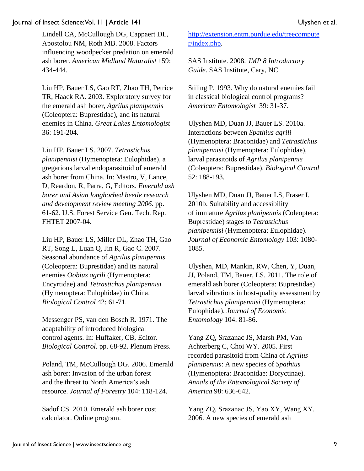#### Journal of Insect Science: Vol. 11 | Article 141 Ulyshen et al.

Lindell CA, McCullough DG, Cappaert DL, Apostolou NM, Roth MB. 2008. Factors influencing woodpecker predation on emerald ash borer. *American Midland Naturalist* 159: 434-444.

Liu HP, Bauer LS, Gao RT, Zhao TH, Petrice TR, Haack RA. 2003. Exploratory survey for the emerald ash borer, *Agrilus planipennis* (Coleoptera: Buprestidae), and its natural enemies in China. *Great Lakes Entomologist* 36: 191-204.

Liu HP, Bauer LS. 2007. *Tetrastichus planipennisi* (Hymenoptera: Eulophidae), a gregarious larval endoparasitoid of emerald ash borer from China. In: Mastro, V, Lance, D, Reardon, R, Parra, G, Editors. *Emerald ash borer and Asian longhorhed beetle research and development review meeting 2006*. pp. 61-62. U.S. Forest Service Gen. Tech. Rep. FHTET 2007-04.

Liu HP, Bauer LS, Miller DL, Zhao TH, Gao RT, Song L, Luan Q, Jin R, Gao C. 2007. Seasonal abundance of *Agrilus planipennis* (Coleoptera: Buprestidae) and its natural enemies *Oobius agrili* (Hymenoptera: Encyrtidae) and *Tetrastichus planipennisi* (Hymenoptera: Eulophidae) in China. *Biological Control* 42: 61-71.

Messenger PS, van den Bosch R. 1971. The adaptability of introduced biological control agents. In: Huffaker, CB, Editor. *Biological Control*. pp. 68-92. Plenum Press.

Poland, TM, McCullough DG. 2006. Emerald ash borer: Invasion of the urban forest and the threat to North America's ash resource. *Journal of Forestry* 104: 118-124.

Sadof CS. 2010. Emerald ash borer cost calculator. Online program.

http://extension.entm.purdue.edu/treecompute r/index.php.

SAS Institute. 2008. *JMP 8 Introductory Guide*. SAS Institute, Cary, NC

Stiling P. 1993. Why do natural enemies fail in classical biological control programs? *American Entomologist* 39: 31-37.

Ulyshen MD, Duan JJ, Bauer LS. 2010a. Interactions between *Spathius agrili* (Hymenoptera: Braconidae) and *Tetrastichus planipennisi* (Hymenoptera: Eulophidae), larval parasitoids of *Agrilus planipennis* (Coleoptera: Buprestidae). *Biological Control* 52: 188-193.

Ulyshen MD, Duan JJ, Bauer LS, Fraser I. 2010b. Suitability and accessibility of immature *Agrilus planipennis* (Coleoptera: Buprestidae) stages to *Tetrastichus planipennisi* (Hymenoptera: Eulophidae). *Journal of Economic Entomology* 103: 1080- 1085.

Ulyshen, MD, Mankin, RW, Chen, Y, Duan, JJ, Poland, TM, Bauer, LS. 2011. The role of emerald ash borer (Coleoptera: Buprestidae) larval vibrations in host-quality assessment by *Tetrastichus planipennisi* (Hymenoptera: Eulophidae). *Journal of Economic Entomology* 104: 81-86.

Yang ZQ, Srazanac JS, Marsh PM, Van Achterberg C, Choi WY. 2005. First recorded parasitoid from China of *Agrilus planipennis*: A new species of *Spathius* (Hymenoptera: Braconidae: Doryctinae). *Annals of the Entomological Society of America* 98: 636-642.

Yang ZQ, Srazanac JS, Yao XY, Wang XY. 2006. A new species of emerald ash